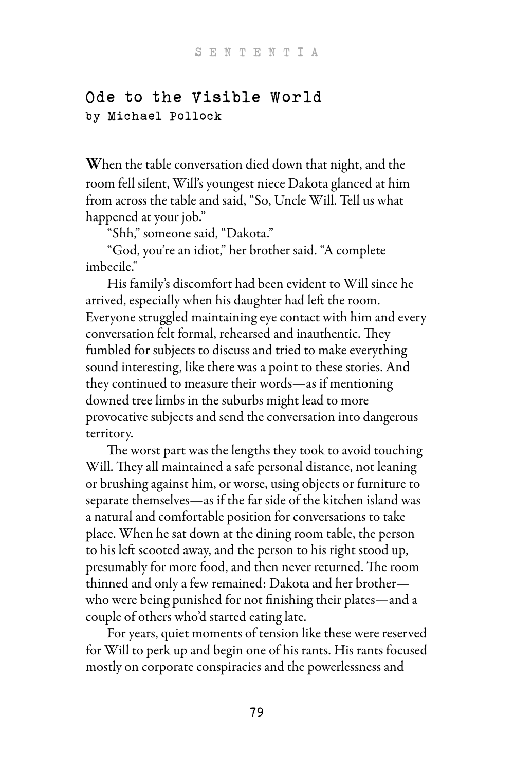## Ode to the Visible World by Michael Pollock

When the table conversation died down that night, and the room fell silent, Will's youngest niece Dakota glanced at him from across the table and said, "So, Uncle Will. Tell us what happened at your job."

"Shh," someone said, "Dakota."

 "God, you're an idiot," her brother said. "A complete imbecile."

 His family's discomfort had been evident to Will since he arrived, especially when his daughter had left the room. Everyone struggled maintaining eye contact with him and every conversation felt formal, rehearsed and inauthentic. They fumbled for subjects to discuss and tried to make everything sound interesting, like there was a point to these stories. And they continued to measure their words—as if mentioning downed tree limbs in the suburbs might lead to more provocative subjects and send the conversation into dangerous territory.

The worst part was the lengths they took to avoid touching Will. They all maintained a safe personal distance, not leaning or brushing against him, or worse, using objects or furniture to separate themselves—as if the far side of the kitchen island was a natural and comfortable position for conversations to take place. When he sat down at the dining room table, the person to his left scooted away, and the person to his right stood up, presumably for more food, and then never returned. The room thinned and only a few remained: Dakota and her brother who were being punished for not finishing their plates—and a couple of others who'd started eating late.

 For years, quiet moments of tension like these were reserved for Will to perk up and begin one of his rants. His rants focused mostly on corporate conspiracies and the powerlessness and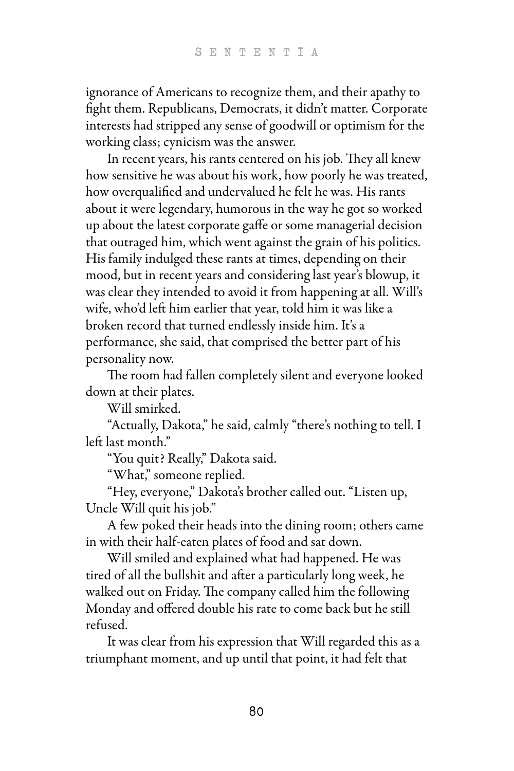ignorance of Americans to recognize them, and their apathy to fight them. Republicans, Democrats, it didn't matter. Corporate interests had stripped any sense of goodwill or optimism for the working class; cynicism was the answer.

In recent years, his rants centered on his job. They all knew how sensitive he was about his work, how poorly he was treated, how overqualified and undervalued he felt he was. His rants about it were legendary, humorous in the way he got so worked up about the latest corporate gaffe or some managerial decision that outraged him, which went against the grain of his politics. His family indulged these rants at times, depending on their mood, but in recent years and considering last year's blowup, it was clear they intended to avoid it from happening at all. Will's wife, who'd left him earlier that year, told him it was like a broken record that turned endlessly inside him. It's a performance, she said, that comprised the better part of his personality now.

The room had fallen completely silent and everyone looked down at their plates.

Will smirked.

 "Actually, Dakota," he said, calmly "there's nothing to tell. I left last month."

"You quit? Really," Dakota said.

"What," someone replied.

 "Hey, everyone," Dakota's brother called out. "Listen up, Uncle Will quit his job."

 A few poked their heads into the dining room; others came in with their half-eaten plates of food and sat down.

 Will smiled and explained what had happened. He was tired of all the bullshit and after a particularly long week, he walked out on Friday. The company called him the following Monday and offered double his rate to come back but he still refused.

 It was clear from his expression that Will regarded this as a triumphant moment, and up until that point, it had felt that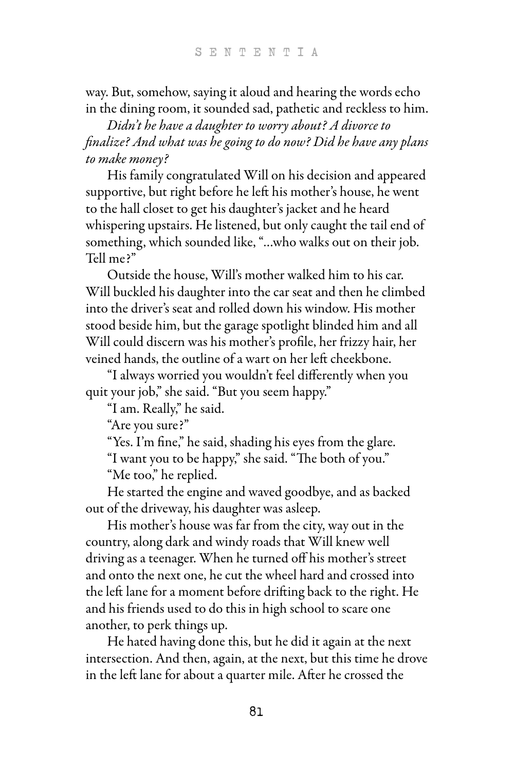way. But, somehow, saying it aloud and hearing the words echo in the dining room, it sounded sad, pathetic and reckless to him.

Didn't he have a daughter to worry about? A divorce to finalize? And what was he going to do now? Did he have any plans to make money?

 His family congratulated Will on his decision and appeared supportive, but right before he left his mother's house, he went to the hall closet to get his daughter's jacket and he heard whispering upstairs. He listened, but only caught the tail end of something, which sounded like, "…who walks out on their job. Tell me?"

 Outside the house, Will's mother walked him to his car. Will buckled his daughter into the car seat and then he climbed into the driver's seat and rolled down his window. His mother stood beside him, but the garage spotlight blinded him and all Will could discern was his mother's profile, her frizzy hair, her veined hands, the outline of a wart on her left cheekbone.

 "I always worried you wouldn't feel differently when you quit your job," she said. "But you seem happy."

"I am. Really," he said.

"Are you sure?"

"Yes. I'm fine," he said, shading his eyes from the glare.

"I want you to be happy," she said. "The both of you."

"Me too," he replied.

 He started the engine and waved goodbye, and as backed out of the driveway, his daughter was asleep.

 His mother's house was far from the city, way out in the country, along dark and windy roads that Will knew well driving as a teenager. When he turned off his mother's street and onto the next one, he cut the wheel hard and crossed into the left lane for a moment before drifting back to the right. He and his friends used to do this in high school to scare one another, to perk things up.

 He hated having done this, but he did it again at the next intersection. And then, again, at the next, but this time he drove in the left lane for about a quarter mile. After he crossed the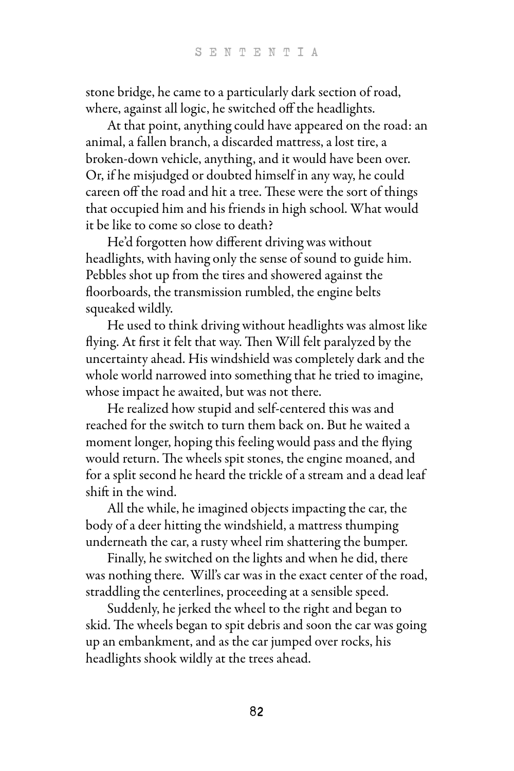stone bridge, he came to a particularly dark section of road, where, against all logic, he switched off the headlights.

 At that point, anything could have appeared on the road: an animal, a fallen branch, a discarded mattress, a lost tire, a broken-down vehicle, anything, and it would have been over. Or, if he misjudged or doubted himself in any way, he could careen off the road and hit a tree. These were the sort of things that occupied him and his friends in high school. What would it be like to come so close to death?

 He'd forgotten how different driving was without headlights, with having only the sense of sound to guide him. Pebbles shot up from the tires and showered against the floorboards, the transmission rumbled, the engine belts squeaked wildly.

 He used to think driving without headlights was almost like flying. At first it felt that way. Then Will felt paralyzed by the uncertainty ahead. His windshield was completely dark and the whole world narrowed into something that he tried to imagine, whose impact he awaited, but was not there.

 He realized how stupid and self-centered this was and reached for the switch to turn them back on. But he waited a moment longer, hoping this feeling would pass and the flying would return. The wheels spit stones, the engine moaned, and for a split second he heard the trickle of a stream and a dead leaf shift in the wind.

 All the while, he imagined objects impacting the car, the body of a deer hitting the windshield, a mattress thumping underneath the car, a rusty wheel rim shattering the bumper.

 Finally, he switched on the lights and when he did, there was nothing there. Will's car was in the exact center of the road, straddling the centerlines, proceeding at a sensible speed.

 Suddenly, he jerked the wheel to the right and began to skid. The wheels began to spit debris and soon the car was going up an embankment, and as the car jumped over rocks, his headlights shook wildly at the trees ahead.